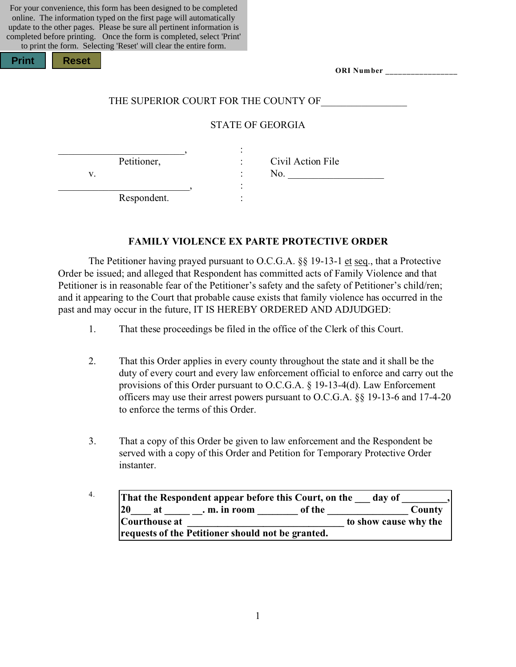| For your convenience, this form has been designed to be completed      |
|------------------------------------------------------------------------|
| online. The information typed on the first page will automatically     |
| update to the other pages. Please be sure all pertinent information is |
| completed before printing. Once the form is completed, select 'Print'  |
| to print the form. Selecting 'Reset' will clear the entire form.       |

| <b>Print</b> | <b>Reset</b> |
|--------------|--------------|
|              |              |

| ORI Number |  |
|------------|--|
|------------|--|

#### THE SUPERIOR COURT FOR THE COUNTY OF

### STATE OF GEORGIA

 $\overline{\phantom{a}}$  , and the contract of the contract of  $\overline{\phantom{a}}$  ,  $\overline{\phantom{a}}$  ;

\_\_\_\_\_\_\_\_\_\_\_\_\_\_\_\_\_\_\_\_\_\_\_\_\_\_, : Respondent.

Petitioner, : Civil Action File  $v.$   $\qquad \qquad$  :  $\qquad$  No.

#### **FAMILY VIOLENCE EX PARTE PROTECTIVE ORDER**

The Petitioner having prayed pursuant to O.C.G.A. §§ 19-13-1 et seq., that a Protective Order be issued; and alleged that Respondent has committed acts of Family Violence and that Petitioner is in reasonable fear of the Petitioner's safety and the safety of Petitioner's child/ren; and it appearing to the Court that probable cause exists that family violence has occurred in the past and may occur in the future, IT IS HEREBY ORDERED AND ADJUDGED:

- 1. That these proceedings be filed in the office of the Clerk of this Court.
- 2. That this Order applies in every county throughout the state and it shall be the duty of every court and every law enforcement official to enforce and carry out the provisions of this Order pursuant to O.C.G.A. § 19-13-4(d). Law Enforcement officers may use their arrest powers pursuant to O.C.G.A. §§ 19-13-6 and 17-4-20 to enforce the terms of this Order.
- 3. That a copy of this Order be given to law enforcement and the Respondent be served with a copy of this Order and Petition for Temporary Protective Order instanter.
- <sup>4.</sup> That the Respondent appear before this Court, on the day of **20\_\_\_\_ at \_\_\_\_\_ \_\_. m. in room \_\_\_\_\_\_\_\_ of the \_\_\_\_\_\_\_\_\_\_\_\_\_\_\_\_ County Courthouse at \_\_\_\_\_\_\_\_\_\_\_\_\_\_\_\_\_\_\_\_\_\_\_\_\_\_\_\_\_\_\_ to show cause why the requests of the Petitioner should not be granted.**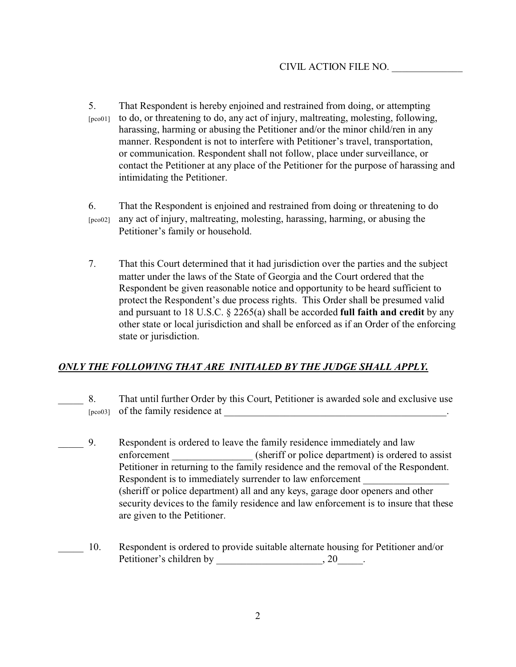- 5. That Respondent is hereby enjoined and restrained from doing, or attempting [pco01] to do, or threatening to do, any act of injury, maltreating, molesting, following, harassing, harming or abusing the Petitioner and/or the minor child/ren in any manner. Respondent is not to interfere with Petitioner's travel, transportation, or communication. Respondent shall not follow, place under surveillance, or contact the Petitioner at any place of the Petitioner for the purpose of harassing and intimidating the Petitioner.
- 6. That the Respondent is enjoined and restrained from doing or threatening to do [pco02] any act of injury, maltreating, molesting, harassing, harming, or abusing the Petitioner's family or household.
- 7. That this Court determined that it had jurisdiction over the parties and the subject matter under the laws of the State of Georgia and the Court ordered that the Respondent be given reasonable notice and opportunity to be heard sufficient to protect the Respondent's due process rights. This Order shall be presumed valid and pursuant to 18 U.S.C. § 2265(a) shall be accorded **full faith and credit** by any other state or local jurisdiction and shall be enforced as if an Order of the enforcing state or jurisdiction.

### *ONLY THE FOLLOWING THAT ARE INITIALED BY THE JUDGE SHALL APPLY.*

- \_\_\_\_\_ 8. That until further Order by this Court, Petitioner is awarded sole and exclusive use  $[pcc03]$  of the family residence at
- 9. Respondent is ordered to leave the family residence immediately and law enforcement (sheriff or police department) is ordered to assist Petitioner in returning to the family residence and the removal of the Respondent. Respondent is to immediately surrender to law enforcement (sheriff or police department) all and any keys, garage door openers and other security devices to the family residence and law enforcement is to insure that these are given to the Petitioner.
	- \_\_\_\_\_ 10. Respondent is ordered to provide suitable alternate housing for Petitioner and/or Petitioner's children by  $, 20$ .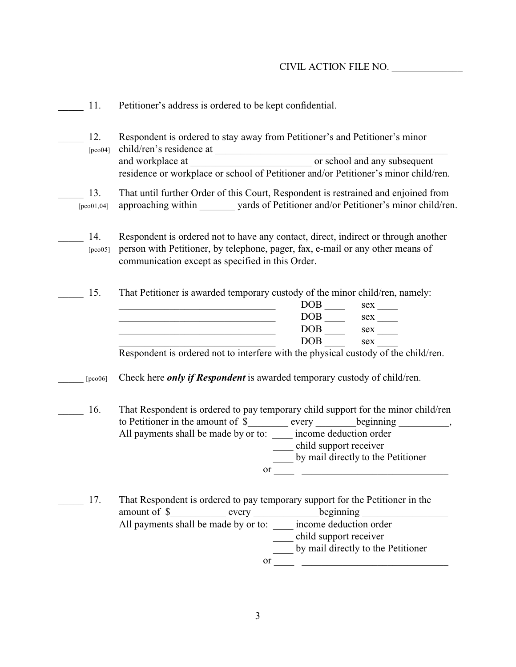| 11.                   | Petitioner's address is ordered to be kept confidential.                                                                                                                                                                                                                                                                                                     |  |  |  |  |
|-----------------------|--------------------------------------------------------------------------------------------------------------------------------------------------------------------------------------------------------------------------------------------------------------------------------------------------------------------------------------------------------------|--|--|--|--|
| 12.<br>[ $pco04$ ]    | Respondent is ordered to stay away from Petitioner's and Petitioner's minor<br>residence or workplace or school of Petitioner and/or Petitioner's minor child/ren.                                                                                                                                                                                           |  |  |  |  |
| 13.<br>[ $pco01,04$ ] | That until further Order of this Court, Respondent is restrained and enjoined from<br>approaching within _______ yards of Petitioner and/or Petitioner's minor child/ren.                                                                                                                                                                                    |  |  |  |  |
| 14.<br>[pco05]        | Respondent is ordered not to have any contact, direct, indirect or through another<br>person with Petitioner, by telephone, pager, fax, e-mail or any other means of<br>communication except as specified in this Order.                                                                                                                                     |  |  |  |  |
| 15.                   | That Petitioner is awarded temporary custody of the minor child/ren, namely:<br>$DOB$ <sub>____</sub><br>$\begin{tabular}{c} DOB \hspace{0.09cm}--\hspace{0.09cm} 00 & sex \hspace{0.09cm}--\hspace{0.09cm}--\hspace{0.09cm} \end{tabular}$<br>DOB <sub>1</sub><br>sex<br>Respondent is ordered not to interfere with the physical custody of the child/ren. |  |  |  |  |
| [ $pco06$ ]           | Check here <i>only if Respondent</i> is awarded temporary custody of child/ren.                                                                                                                                                                                                                                                                              |  |  |  |  |
| 16.                   | That Respondent is ordered to pay temporary child support for the minor child/ren<br>to Petitioner in the amount of \$________ every ________ beginning _________,<br>All payments shall be made by or to: _____ income deduction order<br>child support receiver<br>by mail directly to the Petitioner<br>or                                                |  |  |  |  |
| 17.                   | That Respondent is ordered to pay temporary support for the Petitioner in the<br>amount of \$____________ every ________________beginning ________________________<br>All payments shall be made by or to: _____ income deduction order<br>___ child support receiver<br>by mail directly to the Petitioner                                                  |  |  |  |  |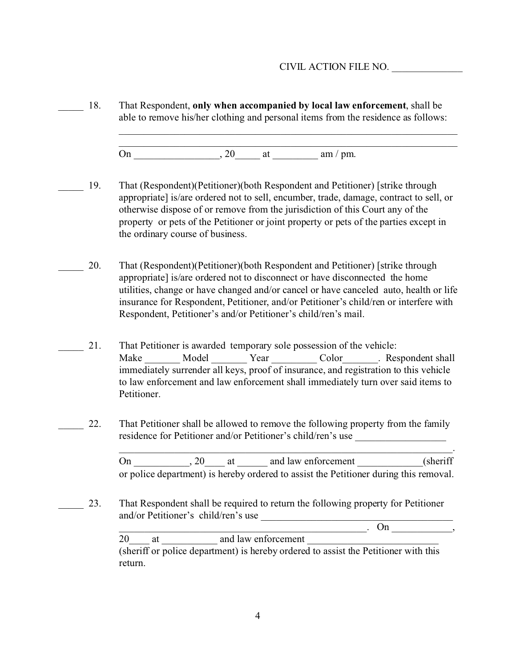18. That Respondent, only when accompanied by local law enforcement, shall be able to remove his/her clothing and personal items from the residence as follows: \_\_\_\_\_\_\_\_\_\_\_\_\_\_\_\_\_\_\_\_\_\_\_\_\_\_\_\_\_\_\_\_\_\_\_\_\_\_\_\_\_\_\_\_\_\_\_\_\_\_\_\_\_\_\_\_\_\_\_\_\_\_\_\_\_\_\_ \_\_\_\_\_\_\_\_\_\_\_\_\_\_\_\_\_\_\_\_\_\_\_\_\_\_\_\_\_\_\_\_\_\_\_\_\_\_\_\_\_\_\_\_\_\_\_\_\_\_\_\_\_\_\_\_\_\_\_\_\_\_\_\_\_\_\_ On \_\_\_\_\_\_\_\_\_\_\_\_\_\_\_\_\_, 20\_\_\_\_\_ at \_\_\_\_\_\_\_\_\_ am / pm. \_\_\_\_\_ 19. That (Respondent)(Petitioner)(both Respondent and Petitioner) [strike through appropriate] is/are ordered not to sell, encumber, trade, damage, contract to sell, or otherwise dispose of or remove from the jurisdiction of this Court any of the property or pets of the Petitioner or joint property or pets of the parties except in the ordinary course of business. \_\_\_\_\_ 20. That (Respondent)(Petitioner)(both Respondent and Petitioner) [strike through appropriate] is/are ordered not to disconnect or have disconnected the home utilities, change or have changed and/or cancel or have canceled auto, health or life insurance for Respondent, Petitioner, and/or Petitioner's child/ren or interfere with Respondent, Petitioner's and/or Petitioner's child/ren's mail. 21. That Petitioner is awarded temporary sole possession of the vehicle: Make Model Year Color Respondent shall immediately surrender all keys, proof of insurance, and registration to this vehicle to law enforcement and law enforcement shall immediately turn over said items to Petitioner. 22. That Petitioner shall be allowed to remove the following property from the family residence for Petitioner and/or Petitioner's child/ren's use  $\overline{\phantom{a}}$  , and the contribution of the contribution of the contribution of the contribution of  $\overline{\phantom{a}}$  , On 20 at and law enforcement (sheriff or police department) is hereby ordered to assist the Petitioner during this removal. 23. That Respondent shall be required to return the following property for Petitioner and/or Petitioner's child/ren's use  $\Box$  On  $\Box$ 20 at and law enforcement (sheriff or police department) is hereby ordered to assist the Petitioner with this return.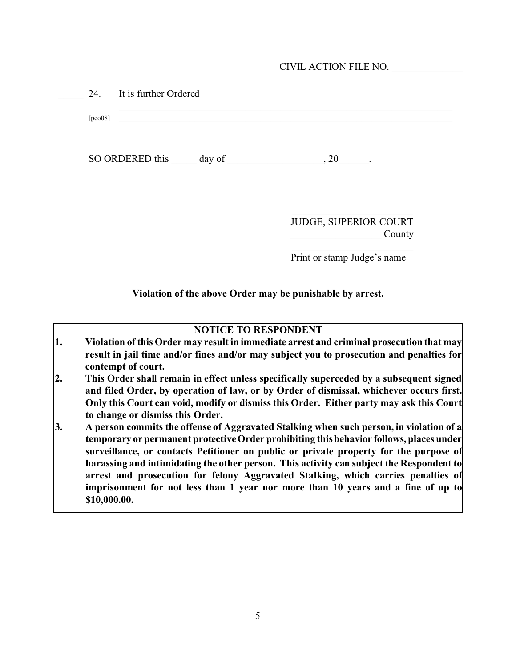|  | CIVIL ACTION FILE NO. |  |
|--|-----------------------|--|
|  |                       |  |

| SO ORDERED this day of | , 20                            |
|------------------------|---------------------------------|
|                        | JUDGE, SUPERIOR COURT<br>County |

**Violation of the above Order may be punishable by arrest.**

### **NOTICE TO RESPONDENT**

- **1. Violation of this Order may result in immediate arrest and criminal prosecution that may result in jail time and/or fines and/or may subject you to prosecution and penalties for contempt of court.**
- **2. This Order shall remain in effect unless specifically superceded by a subsequent signed and filed Order, by operation of law, or by Order of dismissal, whichever occurs first. Only this Court can void, modify or dismiss this Order. Either party may ask this Court to change or dismiss this Order.**
- **3. A person commits the offense of Aggravated Stalking when such person, in violation of a temporary or permanent protective Order prohibiting this behavior follows, places under surveillance, or contacts Petitioner on public or private property for the purpose of harassing and intimidating the other person. This activity can subject the Respondent to arrest and prosecution for felony Aggravated Stalking, which carries penalties of imprisonment for not less than 1 year nor more than 10 years and a fine of up to \$10,000.00.**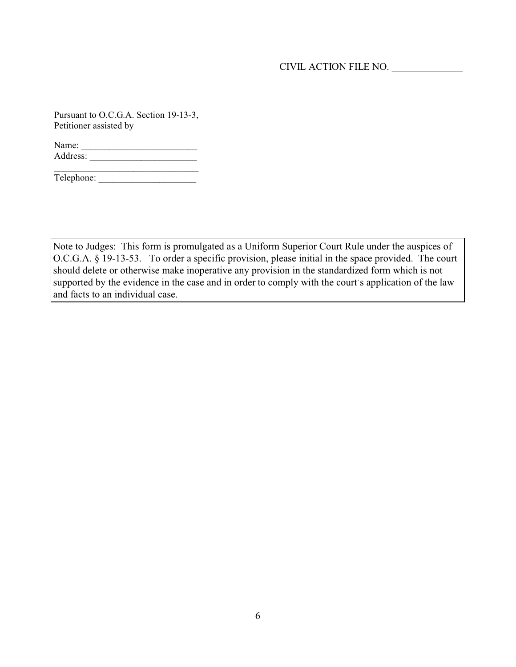Pursuant to O.C.G.A. Section 19-13-3, Petitioner assisted by

Name: \_\_\_\_\_\_\_\_\_\_\_\_\_\_\_\_\_\_\_\_\_\_\_\_\_ Address: \_\_\_\_\_\_\_\_\_\_\_\_\_\_\_\_\_\_\_\_\_\_\_

\_\_\_\_\_\_\_\_\_\_\_\_\_\_\_\_\_\_\_\_\_\_\_\_\_\_\_\_\_\_\_ Telephone: \_\_\_\_\_\_\_\_\_\_\_\_\_\_\_\_\_\_\_\_\_

Note to Judges: This form is promulgated as a Uniform Superior Court Rule under the auspices of O.C.G.A. § 19-13-53. To order a specific provision, please initial in the space provided. The court should delete or otherwise make inoperative any provision in the standardized form which is not supported by the evidence in the case and in order to comply with the court's application of the law and facts to an individual case.